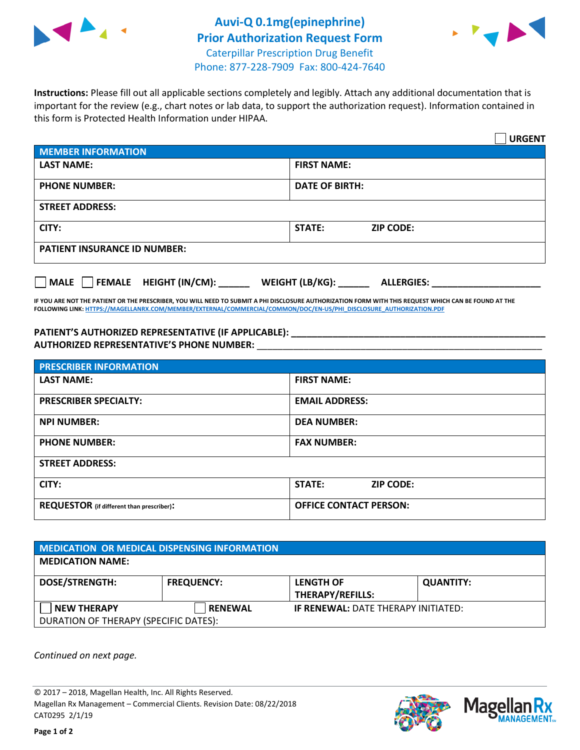



**Instructions:** Please fill out all applicable sections completely and legibly. Attach any additional documentation that is important for the review (e.g., chart notes or lab data, to support the authorization request). Information contained in

**URGENT MEMBER INFORMATION LAST NAME: FIRST NAME: PHONE NUMBER:**  $\vert$  DATE OF BIRTH: **STREET ADDRESS: CITY: STATE: ZIP CODE: PATIENT INSURANCE ID NUMBER: MALE FEMALE HEIGHT (IN/CM): \_\_\_\_\_\_ WEIGHT (LB/KG): \_\_\_\_\_\_ ALLERGIES: \_\_\_\_\_\_\_\_\_\_\_\_\_\_\_\_\_\_\_\_\_**

**IF YOU ARE NOT THE PATIENT OR THE PRESCRIBER, YOU WILL NEED TO SUBMIT A PHI DISCLOSURE AUTHORIZATION FORM WITH THIS REQUEST WHICH CAN BE FOUND AT THE FOLLOWING LINK[: HTTPS://MAGELLANRX.COM/MEMBER/EXTERNAL/COMMERCIAL/COMMON/DOC/EN-US/PHI\\_DISCLOSURE\\_AUTHORIZATION.PDF](https://magellanrx.com/member/external/commercial/common/doc/en-us/PHI_Disclosure_Authorization.pdf)**

PATIENT'S AUTHORIZED REPRESENTATIVE (IF APPLICABLE): **\_\_\_\_\_\_\_\_\_\_\_\_\_\_ AUTHORIZED REPRESENTATIVE'S PHONE NUMBER:** \_\_\_\_\_\_\_\_\_\_\_\_\_\_\_\_\_\_\_\_\_\_\_\_\_\_\_\_\_\_\_\_\_\_\_\_\_\_\_\_\_\_\_\_\_\_\_\_\_\_\_\_\_\_\_

this form is Protected Health Information under HIPAA.

| <b>PRESCRIBER INFORMATION</b>             |                               |  |  |
|-------------------------------------------|-------------------------------|--|--|
| <b>LAST NAME:</b>                         | <b>FIRST NAME:</b>            |  |  |
| <b>PRESCRIBER SPECIALTY:</b>              | <b>EMAIL ADDRESS:</b>         |  |  |
| <b>NPI NUMBER:</b>                        | <b>DEA NUMBER:</b>            |  |  |
| <b>PHONE NUMBER:</b>                      | <b>FAX NUMBER:</b>            |  |  |
| <b>STREET ADDRESS:</b>                    |                               |  |  |
| CITY:                                     | STATE:<br><b>ZIP CODE:</b>    |  |  |
| REQUESTOR (if different than prescriber): | <b>OFFICE CONTACT PERSON:</b> |  |  |

| <b>MEDICATION OR MEDICAL DISPENSING INFORMATION</b> |                   |                                            |                  |  |
|-----------------------------------------------------|-------------------|--------------------------------------------|------------------|--|
| <b>MEDICATION NAME:</b>                             |                   |                                            |                  |  |
| <b>DOSE/STRENGTH:</b>                               | <b>FREQUENCY:</b> | <b>LENGTH OF</b>                           | <b>QUANTITY:</b> |  |
|                                                     |                   | <b>THERAPY/REFILLS:</b>                    |                  |  |
| <b>NEW THERAPY</b>                                  | <b>RENEWAL</b>    | <b>IF RENEWAL: DATE THERAPY INITIATED:</b> |                  |  |
| DURATION OF THERAPY (SPECIFIC DATES):               |                   |                                            |                  |  |

*Continued on next page.*

© 2017 – 2018, Magellan Health, Inc. All Rights Reserved. Magellan Rx Management – Commercial Clients. Revision Date: 08/22/2018 CAT0295 2/1/19